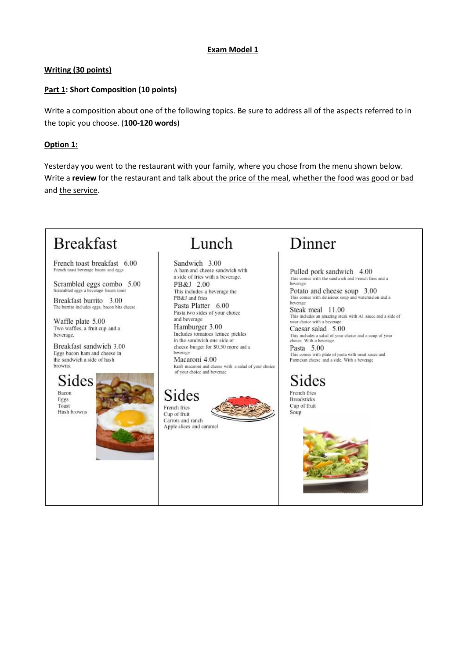### **Exam Model 1**

### Writing (30 points)

### Part 1: Short Composition (10 points)

Write a composition about one of the following topics. Be sure to address all of the aspects referred to in the topic you choose. (100-120 words)

### Option 1:

Yesterday you went to the restaurant with your family, where you chose from the menu shown below. Write a review for the restaurant and talk about the price of the meal, whether the food was good or bad and the service.

## **Breakfast**

French toast breakfast 6.00 French toast beverage bacon and eggs

Scrambled eggs combo 5.00 Scrambled eggs a beverage bacon toast

Breakfast burrito 3.00 The burrito includes eggs, bacon bits cheese

Waffle plate 5.00 Two waffles, a fruit cup and a beverage.

Breakfast sandwich 3.00 Eggs bacon ham and cheese in the sandwich a side of hash browns

Sides Bacor Eggs Toast Hash browns



### Lunch

Sandwich 3.00 A ham and cheese sandwich with a side of fries with a beverage. PB&J 2.00 This includes a beverage the PB&J and fries Pasta Platter 6.00 Pasta two sides of your choice and beverage Hamburger 3.00 Includes tomatoes lettuce pickles in the sandwich one side or cheese burger for \$0,50 more and a beverage

Macaroni 4.00 Kraft macaroni and cheese with a salad of your choice<br>of your choice and beverage

### Sides French fries

Cup of fruit Carrots and ranch Apple slices and caramel

# Dinner

Pulled pork sandwich 4.00 This comes with the sandwich and French fries and a beverage

Potato and cheese soup 3.00 This comes with delicious soup and watermelon and a

Steak meal 11.00 This includes an amazing steak with A1 sauce and a side of your choice with a beverage

Caesar salad 5.00 This includes a salad of your choice and a soup of your<br>choice. With a beverage

Pasta 5.00 This comes with plate of pasta with meat sauce and Parmesan cheese and a side. With a beverage

# Sides

French fries **Breadsticks** Cup of fruit Soup

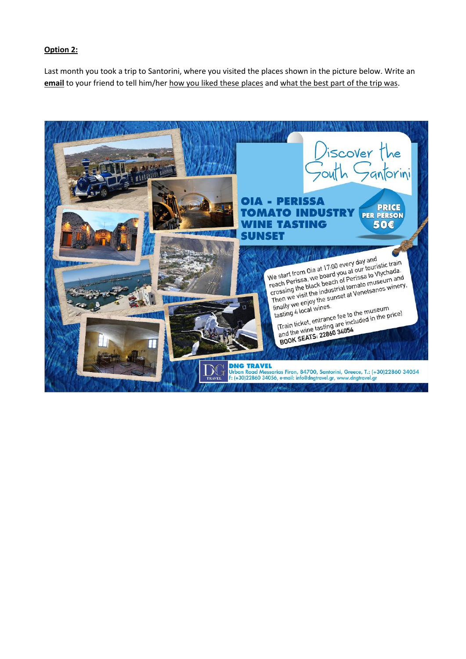### **Option 2:**

Last month you took a trip to Santorini, where you visited the places shown in the picture below. Write an **email** to your friend to tell him/her how you liked these places and what the best part of the trip was.